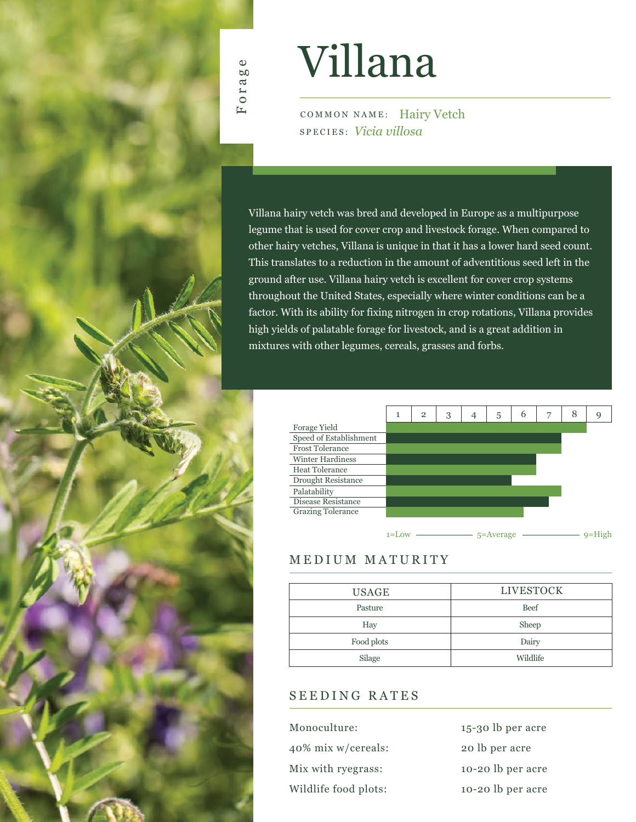

# Villana

COMMON NAME: Hairy Vetch SPECIES: *Vicia villosa*

Villana hairy vetch was bred and developed in Europe as a multipurpose legume that is used for cover crop and livestock forage. When compared to other hairy vetches, Villana is unique in that it has a lower hard seed count. This translates to a reduction in the amount of adventitious seed left in the ground after use. Villana hairy vetch is excellent for cover crop systems throughout the United States, especially where winter conditions can be a factor. With its ability for fixing nitrogen in crop rotations, Villana provides high yields of palatable forage for livestock, and is a great addition in mixtures with other legumes, cereals, grasses and forbs.



## MEDIUM MATURITY

| <b>USAGE</b> | <b>LIVESTOCK</b> |  |  |  |  |  |
|--------------|------------------|--|--|--|--|--|
| Pasture      | <b>Beef</b>      |  |  |  |  |  |
| Hay          | Sheep            |  |  |  |  |  |
| Food plots   | Dairy            |  |  |  |  |  |
| Silage       | Wildlife         |  |  |  |  |  |
|              |                  |  |  |  |  |  |

### SEEDING RATES

| Monoculture:         | 15-30 lb per acre |
|----------------------|-------------------|
| 40% mix w/cereals:   | 20 lb per acre    |
| Mix with ryegrass:   | 10-20 lb per acre |
| Wildlife food plots: | 10-20 lb per acre |